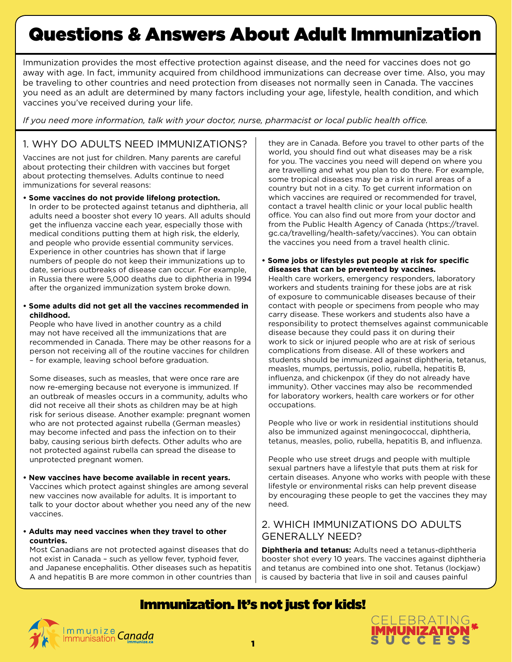# Questions & Answers About Adult Immunization

Immunization provides the most effective protection against disease, and the need for vaccines does not go away with age. In fact, immunity acquired from childhood immunizations can decrease over time. Also, you may be traveling to other countries and need protection from diseases not normally seen in Canada. The vaccines you need as an adult are determined by many factors including your age, lifestyle, health condition, and which vaccines you've received during your life.

*If you need more information, talk with your doctor, nurse, pharmacist or local public health office.*

#### 1. WHY DO ADULTS NEED IMMUNIZATIONS?

Vaccines are not just for children. Many parents are careful about protecting their children with vaccines but forget about protecting themselves. Adults continue to need immunizations for several reasons:

- **Some vaccines do not provide lifelong protection.** In order to be protected against tetanus and diphtheria, all adults need a booster shot every 10 years. All adults should get the influenza vaccine each year, especially those with medical conditions putting them at high risk, the elderly, and people who provide essential community services. Experience in other countries has shown that if large numbers of people do not keep their immunizations up to date, serious outbreaks of disease can occur. For example, in Russia there were 5,000 deaths due to diphtheria in 1994 after the organized immunization system broke down.
- **Some adults did not get all the vaccines recommended in childhood.**

People who have lived in another country as a child may not have received all the immunizations that are recommended in Canada. There may be other reasons for a person not receiving all of the routine vaccines for children – for example, leaving school before graduation.

Some diseases, such as measles, that were once rare are now re-emerging because not everyone is immunized. If an outbreak of measles occurs in a community, adults who did not receive all their shots as children may be at high risk for serious disease. Another example: pregnant women who are not protected against rubella (German measles) may become infected and pass the infection on to their baby, causing serious birth defects. Other adults who are not protected against rubella can spread the disease to unprotected pregnant women.

- **New vaccines have become available in recent years.** Vaccines which protect against shingles are among several new vaccines now available for adults. It is important to talk to your doctor about whether you need any of the new vaccines.
- **Adults may need vaccines when they travel to other countries.**

Most Canadians are not protected against diseases that do not exist in Canada – such as yellow fever, typhoid fever, and Japanese encephalitis. Other diseases such as hepatitis A and hepatitis B are more common in other countries than |

they are in Canada. Before you travel to other parts of the world, you should find out what diseases may be a risk for you. The vaccines you need will depend on where you are travelling and what you plan to do there. For example, some tropical diseases may be a risk in rural areas of a country but not in a city. To get current information on which vaccines are required or recommended for travel, contact a travel health clinic or your local public health office. You can also find out more from your doctor and from the Public Health Agency of Canada (https://travel. gc.ca/travelling/health-safety/vaccines). You can obtain the vaccines you need from a travel health clinic.

**• Some jobs or lifestyles put people at risk for specific diseases that can be prevented by vaccines.**

Health care workers, emergency responders, laboratory workers and students training for these jobs are at risk of exposure to communicable diseases because of their contact with people or specimens from people who may carry disease. These workers and students also have a responsibility to protect themselves against communicable disease because they could pass it on during their work to sick or injured people who are at risk of serious complications from disease. All of these workers and students should be immunized against diphtheria, tetanus, measles, mumps, pertussis, polio, rubella, hepatitis B, influenza, and chickenpox (if they do not already have immunity). Other vaccines may also be recommended for laboratory workers, health care workers or for other occupations.

People who live or work in residential institutions should also be immunized against meningococcal, diphtheria, tetanus, measles, polio, rubella, hepatitis B, and influenza.

People who use street drugs and people with multiple sexual partners have a lifestyle that puts them at risk for certain diseases. Anyone who works with people with these lifestyle or environmental risks can help prevent disease by encouraging these people to get the vaccines they may need.

#### 2. WHICH IMMUNIZATIONS DO ADULTS GENERALLY NEED?

**Diphtheria and tetanus:** Adults need a tetanus-diphtheria booster shot every 10 years. The vaccines against diphtheria and tetanus are combined into one shot. Tetanus (lockjaw) is caused by bacteria that live in soil and causes painful

# Immunization. It's not just for kids!

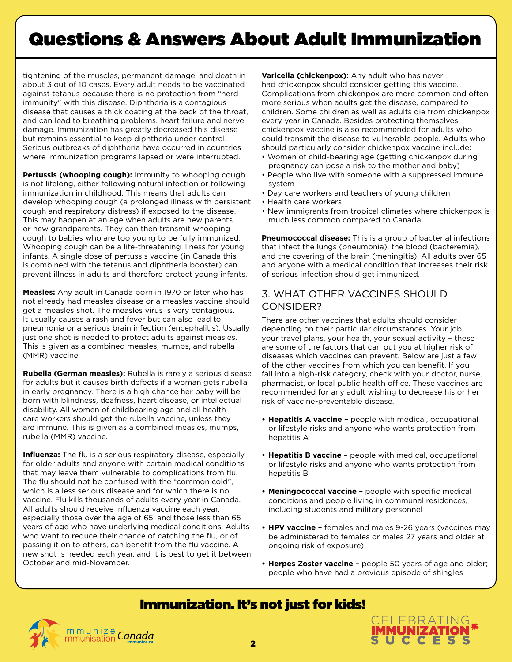# Questions & Answers About Adult Immunization

tightening of the muscles, permanent damage, and death in about 3 out of 10 cases. Every adult needs to be vaccinated against tetanus because there is no protection from "herd immunity" with this disease. Diphtheria is a contagious disease that causes a thick coating at the back of the throat, and can lead to breathing problems, heart failure and nerve damage. Immunization has greatly decreased this disease but remains essential to keep diphtheria under control. Serious outbreaks of diphtheria have occurred in countries where immunization programs lapsed or were interrupted.

Pertussis (whooping cough): Immunity to whooping cough is not lifelong, either following natural infection or following immunization in childhood. This means that adults can develop whooping cough (a prolonged illness with persistent cough and respiratory distress) if exposed to the disease. This may happen at an age when adults are new parents or new grandparents. They can then transmit whooping cough to babies who are too young to be fully immunized. Whooping cough can be a life-threatening illness for young infants. A single dose of pertussis vaccine (in Canada this is combined with the tetanus and diphtheria booster) can prevent illness in adults and therefore protect young infants.

**Measles:** Any adult in Canada born in 1970 or later who has not already had measles disease or a measles vaccine should get a measles shot. The measles virus is very contagious. It usually causes a rash and fever but can also lead to pneumonia or a serious brain infection (encephalitis). Usually just one shot is needed to protect adults against measles. This is given as a combined measles, mumps, and rubella (MMR) vaccine.

**Rubella (German measles):** Rubella is rarely a serious disease for adults but it causes birth defects if a woman gets rubella in early pregnancy. There is a high chance her baby will be born with blindness, deafness, heart disease, or intellectual disability. All women of childbearing age and all health care workers should get the rubella vaccine, unless they are immune. This is given as a combined measles, mumps, rubella (MMR) vaccine.

**Influenza:** The flu is a serious respiratory disease, especially for older adults and anyone with certain medical conditions that may leave them vulnerable to complications from flu. The flu should not be confused with the "common cold", which is a less serious disease and for which there is no vaccine. Flu kills thousands of adults every year in Canada. All adults should receive influenza vaccine each year, especially those over the age of 65, and those less than 65 years of age who have underlying medical conditions. Adults who want to reduce their chance of catching the flu, or of passing it on to others, can benefit from the flu vaccine. A new shot is needed each year, and it is best to get it between October and mid-November.

**Varicella (chickenpox):** Any adult who has never had chickenpox should consider getting this vaccine. Complications from chickenpox are more common and often more serious when adults get the disease, compared to children. Some children as well as adults die from chickenpox every year in Canada. Besides protecting themselves, chickenpox vaccine is also recommended for adults who could transmit the disease to vulnerable people. Adults who should particularly consider chickenpox vaccine include:

- Women of child-bearing age (getting chickenpox during pregnancy can pose a risk to the mother and baby)
- People who live with someone with a suppressed immune system
- Day care workers and teachers of young children
- Health care workers
- New immigrants from tropical climates where chickenpox is much less common compared to Canada.

**Pneumococcal disease:** This is a group of bacterial infections that infect the lungs (pneumonia), the blood (bacteremia), and the covering of the brain (meningitis). All adults over 65 and anyone with a medical condition that increases their risk of serious infection should get immunized.

### 3. WHAT OTHER VACCINES SHOULD I CONSIDER?

There are other vaccines that adults should consider depending on their particular circumstances. Your job, your travel plans, your health, your sexual activity – these are some of the factors that can put you at higher risk of diseases which vaccines can prevent. Below are just a few of the other vaccines from which you can benefit. If you fall into a high-risk category, check with your doctor, nurse, pharmacist, or local public health office. These vaccines are recommended for any adult wishing to decrease his or her risk of vaccine-preventable disease.

- **• Hepatitis A vaccine –** people with medical, occupational or lifestyle risks and anyone who wants protection from hepatitis A
- **• Hepatitis B vaccine –** people with medical, occupational or lifestyle risks and anyone who wants protection from hepatitis B
- **• Meningococcal vaccine –** people with specific medical conditions and people living in communal residences, including students and military personnel
- **• HPV vaccine –** females and males 9-26 years (vaccines may be administered to females or males 27 years and older at ongoing risk of exposure)
- **• Herpes Zoster vaccine** people 50 years of age and older; people who have had a previous episode of shingles

# Immunization. It's not just for kids!